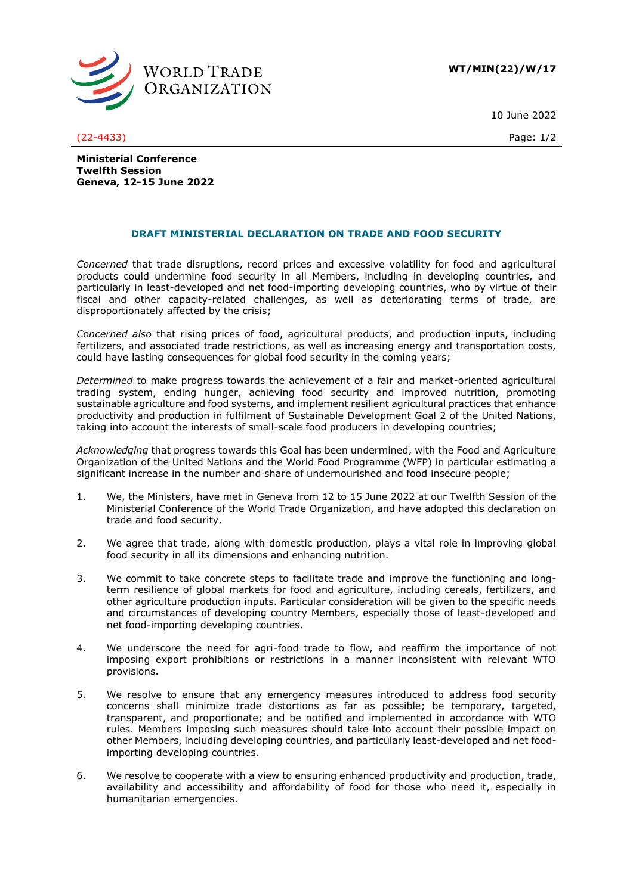

10 June 2022

(22-4433) Page: 1/2

**Ministerial Conference Twelfth Session Geneva, 12-15 June 2022**

## **DRAFT MINISTERIAL DECLARATION ON TRADE AND FOOD SECURITY**

*Concerned* that trade disruptions, record prices and excessive volatility for food and agricultural products could undermine food security in all Members, including in developing countries, and particularly in least-developed and net food-importing developing countries, who by virtue of their fiscal and other capacity-related challenges, as well as deteriorating terms of trade, are disproportionately affected by the crisis;

*Concerned also* that rising prices of food, agricultural products, and production inputs, including fertilizers, and associated trade restrictions, as well as increasing energy and transportation costs, could have lasting consequences for global food security in the coming years;

*Determined* to make progress towards the achievement of a fair and market-oriented agricultural trading system, ending hunger, achieving food security and improved nutrition, promoting sustainable agriculture and food systems, and implement resilient agricultural practices that enhance productivity and production in fulfilment of Sustainable Development Goal 2 of the United Nations, taking into account the interests of small-scale food producers in developing countries;

*Acknowledging* that progress towards this Goal has been undermined, with the Food and Agriculture Organization of the United Nations and the World Food Programme (WFP) in particular estimating a significant increase in the number and share of undernourished and food insecure people;

- 1. We, the Ministers, have met in Geneva from 12 to 15 June 2022 at our Twelfth Session of the Ministerial Conference of the World Trade Organization, and have adopted this declaration on trade and food security.
- 2. We agree that trade, along with domestic production, plays a vital role in improving global food security in all its dimensions and enhancing nutrition.
- 3. We commit to take concrete steps to facilitate trade and improve the functioning and longterm resilience of global markets for food and agriculture, including cereals, fertilizers, and other agriculture production inputs. Particular consideration will be given to the specific needs and circumstances of developing country Members, especially those of least-developed and net food-importing developing countries.
- 4. We underscore the need for agri-food trade to flow, and reaffirm the importance of not imposing export prohibitions or restrictions in a manner inconsistent with relevant WTO provisions.
- 5. We resolve to ensure that any emergency measures introduced to address food security concerns shall minimize trade distortions as far as possible; be temporary, targeted, transparent, and proportionate; and be notified and implemented in accordance with WTO rules. Members imposing such measures should take into account their possible impact on other Members, including developing countries, and particularly least-developed and net foodimporting developing countries.
- 6. We resolve to cooperate with a view to ensuring enhanced productivity and production, trade, availability and accessibility and affordability of food for those who need it, especially in humanitarian emergencies.